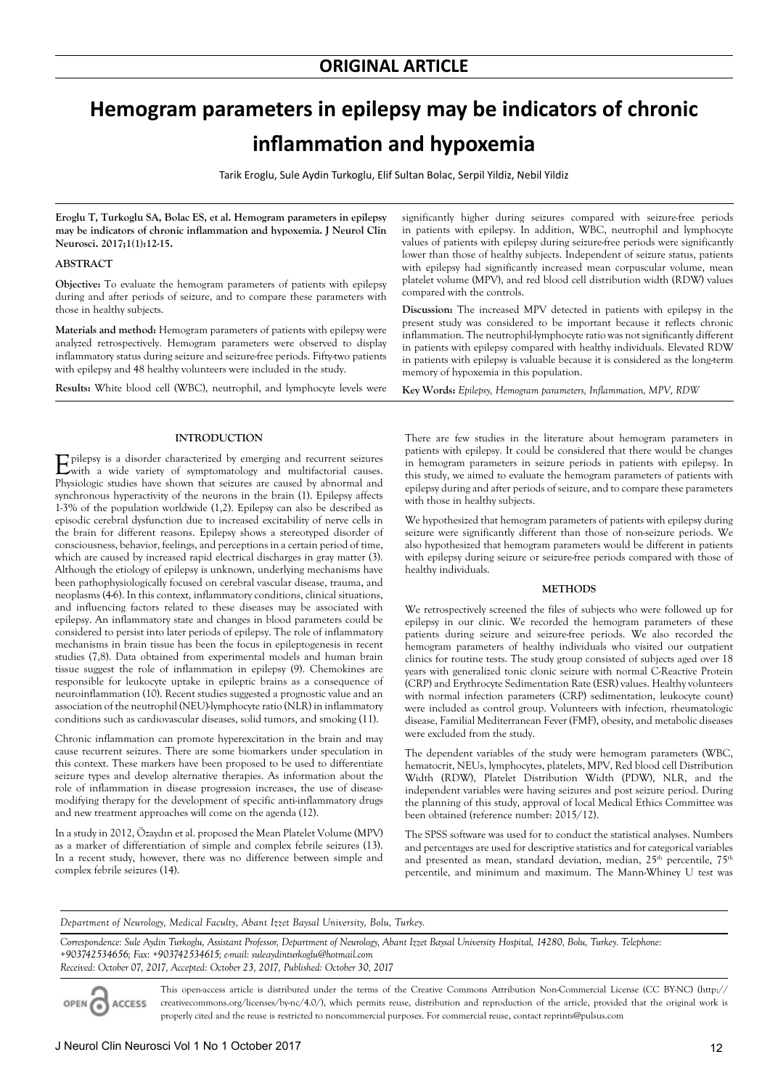# **Hemogram parameters in epilepsy may be indicators of chronic inflammation and hypoxemia**

Tarik Eroglu, Sule Aydin Turkoglu, Elif Sultan Bolac, Serpil Yildiz, Nebil Yildiz

**Eroglu T, Turkoglu SA, Bolac ES, et al. Hemogram parameters in epilepsy may be indicators of chronic inflammation and hypoxemia. J Neurol Clin Neurosci. 2017;1(1):12-15.**

## **ABSTRACT**

**Objective:** To evaluate the hemogram parameters of patients with epilepsy during and after periods of seizure, and to compare these parameters with those in healthy subjects.

**Materials and method:** Hemogram parameters of patients with epilepsy were analyzed retrospectively. Hemogram parameters were observed to display inflammatory status during seizure and seizure-free periods. Fifty-two patients with epilepsy and 48 healthy volunteers were included in the study.

**Results:** White blood cell (WBC), neutrophil, and lymphocyte levels were

#### **INTRODUCTION**

Epilepsy is a disorder characterized by emerging and recurrent seizures with a wide variety of symptomatology and multifactorial causes. Physiologic studies have shown that seizures are caused by abnormal and synchronous hyperactivity of the neurons in the brain (1). Epilepsy affects 1-3% of the population worldwide (1,2). Epilepsy can also be described as episodic cerebral dysfunction due to increased excitability of nerve cells in the brain for different reasons. Epilepsy shows a stereotyped disorder of consciousness, behavior, feelings, and perceptions in a certain period of time, which are caused by increased rapid electrical discharges in gray matter (3). Although the etiology of epilepsy is unknown, underlying mechanisms have been pathophysiologically focused on cerebral vascular disease, trauma, and neoplasms (4-6). In this context, inflammatory conditions, clinical situations, and influencing factors related to these diseases may be associated with epilepsy. An inflammatory state and changes in blood parameters could be considered to persist into later periods of epilepsy. The role of inflammatory mechanisms in brain tissue has been the focus in epileptogenesis in recent studies (7,8). Data obtained from experimental models and human brain tissue suggest the role of inflammation in epilepsy (9). Chemokines are responsible for leukocyte uptake in epileptic brains as a consequence of neuroinflammation (10). Recent studies suggested a prognostic value and an association of the neutrophil (NEU)-lymphocyte ratio (NLR) in inflammatory conditions such as cardiovascular diseases, solid tumors, and smoking (11).

Chronic inflammation can promote hyperexcitation in the brain and may cause recurrent seizures. There are some biomarkers under speculation in this context. These markers have been proposed to be used to differentiate seizure types and develop alternative therapies. As information about the role of inflammation in disease progression increases, the use of diseasemodifying therapy for the development of specific anti-inflammatory drugs and new treatment approaches will come on the agenda (12).

In a study in 2012, Özaydın et al. proposed the Mean Platelet Volume (MPV) as a marker of differentiation of simple and complex febrile seizures (13). In a recent study, however, there was no difference between simple and complex febrile seizures (14).

significantly higher during seizures compared with seizure-free periods in patients with epilepsy. In addition, WBC, neutrophil and lymphocyte values of patients with epilepsy during seizure-free periods were significantly lower than those of healthy subjects. Independent of seizure status, patients with epilepsy had significantly increased mean corpuscular volume, mean platelet volume (MPV), and red blood cell distribution width (RDW) values compared with the controls.

**Discussion:** The increased MPV detected in patients with epilepsy in the present study was considered to be important because it reflects chronic inflammation. The neutrophil-lymphocyte ratio was not significantly different in patients with epilepsy compared with healthy individuals. Elevated RDW in patients with epilepsy is valuable because it is considered as the long-term memory of hypoxemia in this population.

**Key Words:** *Epilepsy, Hemogram parameters, Inflammation, MPV, RDW*

There are few studies in the literature about hemogram parameters in patients with epilepsy. It could be considered that there would be changes in hemogram parameters in seizure periods in patients with epilepsy. In this study, we aimed to evaluate the hemogram parameters of patients with epilepsy during and after periods of seizure, and to compare these parameters with those in healthy subjects.

We hypothesized that hemogram parameters of patients with epilepsy during seizure were significantly different than those of non-seizure periods. We also hypothesized that hemogram parameters would be different in patients with epilepsy during seizure or seizure-free periods compared with those of healthy individuals.

#### **METHODS**

We retrospectively screened the files of subjects who were followed up for epilepsy in our clinic. We recorded the hemogram parameters of these patients during seizure and seizure-free periods. We also recorded the hemogram parameters of healthy individuals who visited our outpatient clinics for routine tests. The study group consisted of subjects aged over 18 years with generalized tonic clonic seizure with normal C-Reactive Protein (CRP) and Erythrocyte Sedimentation Rate (ESR) values. Healthy volunteers with normal infection parameters (CRP) sedimentation, leukocyte count) were included as control group. Volunteers with infection, rheumatologic disease, Familial Mediterranean Fever (FMF), obesity, and metabolic diseases were excluded from the study.

The dependent variables of the study were hemogram parameters (WBC, hematocrit, NEUs, lymphocytes, platelets, MPV, Red blood cell Distribution Width (RDW), Platelet Distribution Width (PDW), NLR, and the independent variables were having seizures and post seizure period. During the planning of this study, approval of local Medical Ethics Committee was been obtained (reference number: 2015/12).

The SPSS software was used for to conduct the statistical analyses. Numbers and percentages are used for descriptive statistics and for categorical variables and presented as mean, standard deviation, median, 25<sup>th</sup> percentile, 75<sup>th</sup> percentile, and minimum and maximum. The Mann-Whiney U test was

*Department of Neurology, Medical Faculty, Abant Izzet Baysal University, Bolu, Turkey.*

*Correspondence: Sule Aydin Turkoglu, Assistant Professor, Department of Neurology, Abant Izzet Baysal University Hospital, 14280, Bolu, Turkey. Telephone: +903742534656; Fax: +903742534615; e-mail: suleaydinturkoglu@hotmail.com Received: October 07, 2017, Accepted: October 23, 2017, Published: October 30, 2017*

OPEN<sub>6</sub> **ACCESS** 

This open-access article is distributed under the terms of the Creative Commons Attribution Non-Commercial License (CC BY-NC) (http:// creativecommons.org/licenses/by-nc/4.0/), which permits reuse, distribution and reproduction of the article, provided that the original work is properly cited and the reuse is restricted to noncommercial purposes. For commercial reuse, contact reprints@pulsus.com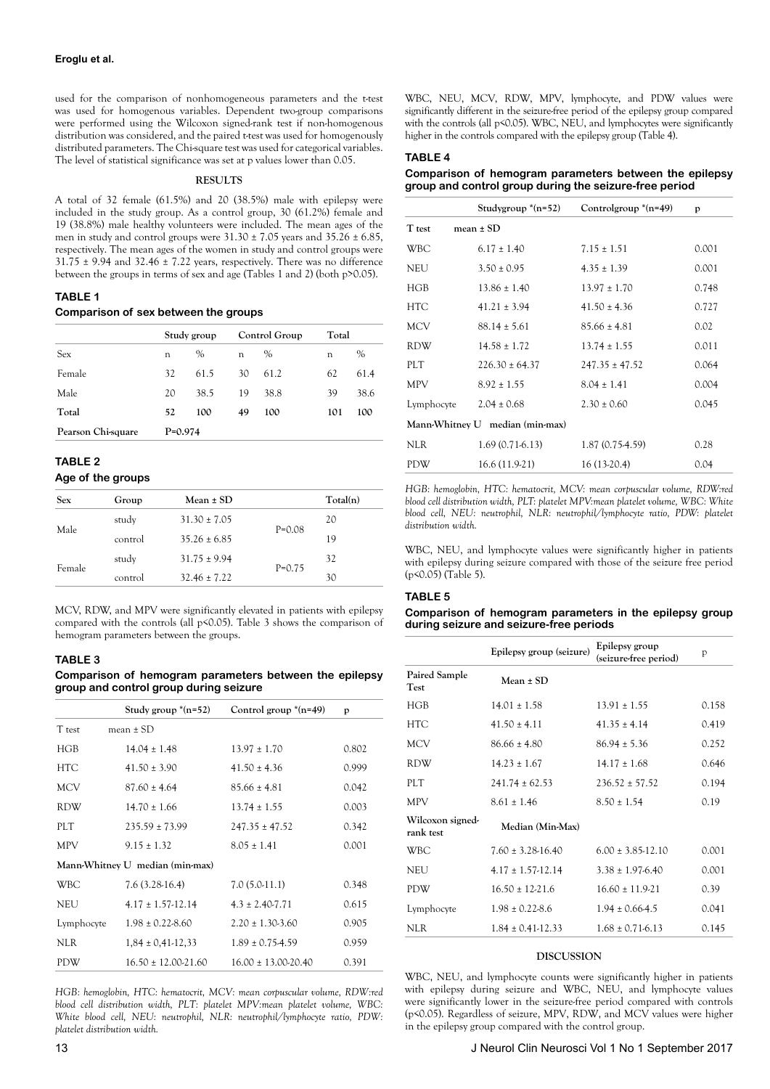used for the comparison of nonhomogeneous parameters and the t-test was used for homogenous variables. Dependent two-group comparisons were performed using the Wilcoxon signed-rank test if non-homogenous distribution was considered, and the paired t-test was used for homogenously distributed parameters. The Chi-square test was used for categorical variables. The level of statistical significance was set at p values lower than 0.05.

## **RESULTS**

A total of 32 female (61.5%) and 20 (38.5%) male with epilepsy were included in the study group. As a control group, 30 (61.2%) female and 19 (38.8%) male healthy volunteers were included. The mean ages of the men in study and control groups were  $31.30 \pm 7.05$  years and  $35.26 \pm 6.85$ , respectively. The mean ages of the women in study and control groups were  $31.75 \pm 9.94$  and  $32.46 \pm 7.22$  years, respectively. There was no difference between the groups in terms of sex and age (Tables 1 and 2) (both p>0.05).

## **TABLE 1**

## **Comparison of sex between the groups**

|                    | Study group |      | Control Group |      | Total |      |
|--------------------|-------------|------|---------------|------|-------|------|
| <b>Sex</b>         | n           | %    | n             | $\%$ | n     | $\%$ |
| Female             | 32          | 61.5 | 30            | 61.2 | 62    | 61.4 |
| Male               | 20          | 38.5 | 19            | 38.8 | 39    | 38.6 |
| Total              | 52          | 100  | 49            | 100  | 101   | 100  |
| Pearson Chi-square | $P=0.974$   |      |               |      |       |      |

# **TABLE 2 Age of the groups**

| <b>Sex</b> | Group   | Mean $\pm$ SD    |          | Total(n) |
|------------|---------|------------------|----------|----------|
| Male       | study   | $31.30 \pm 7.05$ |          | 20       |
|            | control | $35.26 \pm 6.85$ | $P=0.08$ | 19       |
| Female     | study   | $31.75 \pm 9.94$ |          | 32       |
|            | control | $32.46 \pm 7.22$ | $P=0.75$ | 30       |

MCV, RDW, and MPV were significantly elevated in patients with epilepsy compared with the controls (all p<0.05). Table 3 shows the comparison of hemogram parameters between the groups.

# **TABLE 3**

**Comparison of hemogram parameters between the epilepsy group and control group during seizure**

|                                 | Study group $*(n=52)$     | Control group $*(n=49)$   | p     |  |
|---------------------------------|---------------------------|---------------------------|-------|--|
| T test                          | mean $\pm$ SD             |                           |       |  |
| HGB                             | $14.04 \pm 1.48$          | $13.97 \pm 1.70$          | 0.802 |  |
| <b>HTC</b>                      | $41.50 \pm 3.90$          | $41.50 \pm 4.36$          | 0.999 |  |
| <b>MCV</b>                      | $87.60 \pm 4.64$          | $85.66 \pm 4.81$          | 0.042 |  |
| <b>RDW</b>                      | $14.70 \pm 1.66$          | $13.74 \pm 1.55$          | 0.003 |  |
| PLT.                            | $235.59 \pm 73.99$        | $247.35 \pm 47.52$        | 0.342 |  |
| <b>MPV</b>                      | $9.15 \pm 1.32$           | $8.05 \pm 1.41$           | 0.001 |  |
| Mann-Whitney U median (min-max) |                           |                           |       |  |
| <b>WBC</b>                      | $7.6(3.28-16.4)$          | $7.0(5.0-11.1)$           | 0.348 |  |
| <b>NEU</b>                      | $4.17 \pm 1.57 - 12.14$   | $4.3 \pm 2.40 - 7.71$     | 0.615 |  |
| Lymphocyte                      | $1.98 \pm 0.22 - 8.60$    | $2.20 \pm 1.30 - 3.60$    | 0.905 |  |
| NLR.                            | $1,84 \pm 0,41-12,33$     | $1.89 \pm 0.754.59$       | 0.959 |  |
| PDW                             | $16.50 \pm 12.00 - 21.60$ | $16.00 \pm 13.00 - 20.40$ | 0.391 |  |

*HGB: hemoglobin, HTC: hematocrit, MCV: mean corpuscular volume, RDW:red blood cell distribution width, PLT: platelet MPV:mean platelet volume, WBC: White blood cell, NEU: neutrophil, NLR: neutrophil/lymphocyte ratio, PDW: platelet distribution width.*

WBC, NEU, MCV, RDW, MPV, lymphocyte, and PDW values were significantly different in the seizure-free period of the epilepsy group compared with the controls (all p<0.05). WBC, NEU, and lymphocytes were significantly higher in the controls compared with the epilepsy group (Table 4).

# **TABLE 4**

**Comparison of hemogram parameters between the epilepsy group and control group during the seizure-free period**

|                                 | Studygroup $*(n=52)$ | Controlgroup $*(n=49)$ | p     |  |
|---------------------------------|----------------------|------------------------|-------|--|
| T test                          | mean $\pm$ SD        |                        |       |  |
| <b>WBC</b>                      | $6.17 \pm 1.40$      | $7.15 \pm 1.51$        | 0.001 |  |
| <b>NEU</b>                      | $3.50 \pm 0.95$      | $4.35 \pm 1.39$        | 0.001 |  |
| HGB                             | $13.86 \pm 1.40$     | $13.97 \pm 1.70$       | 0.748 |  |
| <b>HTC</b>                      | $41.21 \pm 3.94$     | $41.50 \pm 4.36$       | 0.727 |  |
| <b>MCV</b>                      | $88.14 \pm 5.61$     | $85.66 \pm 4.81$       | 0.02  |  |
| <b>RDW</b>                      | $14.58 \pm 1.72$     | $13.74 \pm 1.55$       | 0.011 |  |
| PLT                             | $226.30 \pm 64.37$   | $247.35 \pm 47.52$     | 0.064 |  |
| <b>MPV</b>                      | $8.92 \pm 1.55$      | $8.04 \pm 1.41$        | 0.004 |  |
| Lymphocyte                      | $2.04 \pm 0.68$      | $2.30 \pm 0.60$        | 0.045 |  |
| Mann-Whitney U median (min-max) |                      |                        |       |  |
| <b>NLR</b>                      | $1.69(0.71-6.13)$    | 1.87 (0.75-4.59)       | 0.28  |  |
| <b>PDW</b>                      | 16.6 (11.9-21)       | $16(13-20.4)$          | 0.04  |  |

*HGB: hemoglobin, HTC: hematocrit, MCV: mean corpuscular volume, RDW:red blood cell distribution width, PLT: platelet MPV:mean platelet volume, WBC: White blood cell, NEU: neutrophil, NLR: neutrophil/lymphocyte ratio, PDW: platelet distribution width.*

WBC, NEU, and lymphocyte values were significantly higher in patients with epilepsy during seizure compared with those of the seizure free period (p<0.05) (Table 5).

# **TABLE 5**

#### **Comparison of hemogram parameters in the epilepsy group during seizure and seizure-free periods**

|                               | Epilepsy group (seizure) | Epilepsy group<br>(seizure-free period) | p     |
|-------------------------------|--------------------------|-----------------------------------------|-------|
| Paired Sample<br>Test         | $Mean \pm SD$            |                                         |       |
| HGB                           | $14.01 \pm 1.58$         | $13.91 \pm 1.55$                        | 0.158 |
| <b>HTC</b>                    | $41.50 \pm 4.11$         | $41.35 \pm 4.14$                        | 0.419 |
| <b>MCV</b>                    | $86.66 \pm 4.80$         | $86.94 \pm 5.36$                        | 0.252 |
| <b>RDW</b>                    | $14.23 \pm 1.67$         | $14.17 \pm 1.68$                        | 0.646 |
| PLT                           | $241.74 \pm 62.53$       | $236.52 \pm 57.52$                      | 0.194 |
| <b>MPV</b>                    | $8.61 \pm 1.46$          | $8.50 \pm 1.54$                         | 0.19  |
| Wilcoxon signed-<br>rank test | Median (Min-Max)         |                                         |       |
| <b>WBC</b>                    | $7.60 \pm 3.28 - 16.40$  | $6.00 \pm 3.85 - 12.10$                 | 0.001 |
| <b>NEU</b>                    | $4.17 \pm 1.57 - 12.14$  | $3.38 \pm 1.976.40$                     | 0.001 |
| <b>PDW</b>                    | $16.50 \pm 12.21.6$      | $16.60 \pm 11.9 - 21$                   | 0.39  |
| Lymphocyte                    | $1.98 \pm 0.22 - 8.6$    | $1.94 \pm 0.664.5$                      | 0.041 |
| NLR.                          | $1.84 \pm 0.41 - 12.33$  | $1.68 \pm 0.71.6.13$                    | 0.145 |

# **DISCUSSION**

WBC, NEU, and lymphocyte counts were significantly higher in patients with epilepsy during seizure and WBC, NEU, and lymphocyte values were significantly lower in the seizure-free period compared with controls (p<0.05). Regardless of seizure, MPV, RDW, and MCV values were higher in the epilepsy group compared with the control group.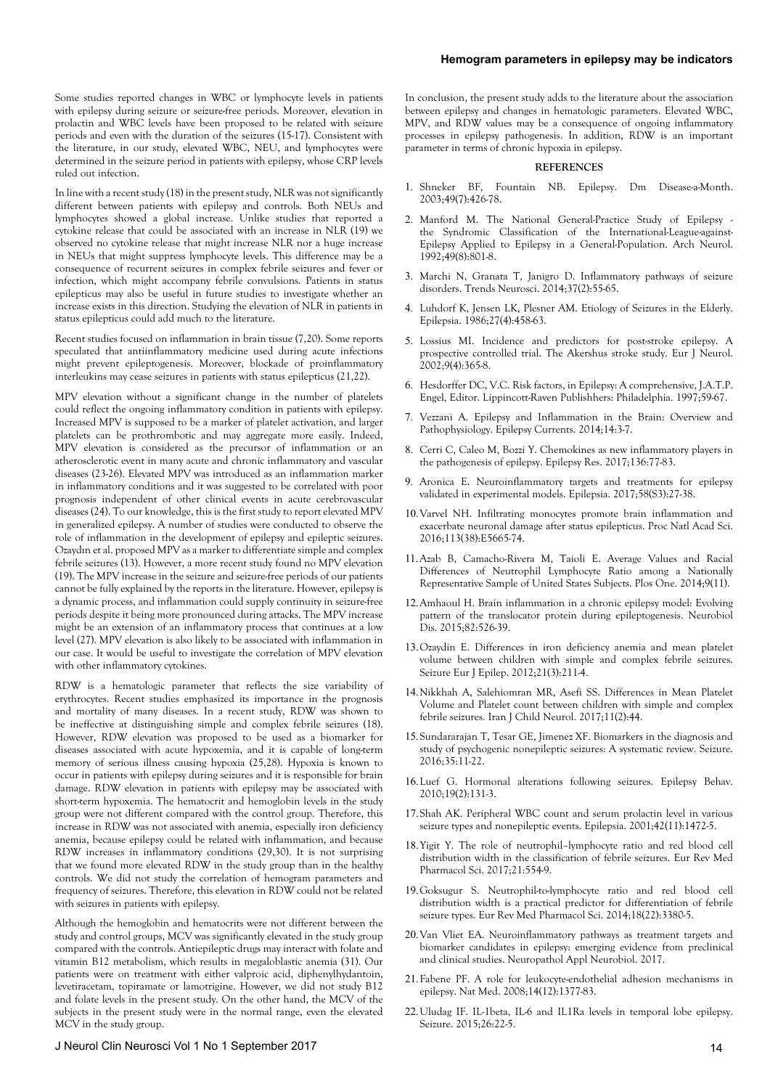Some studies reported changes in WBC or lymphocyte levels in patients with epilepsy during seizure or seizure-free periods. Moreover, elevation in prolactin and WBC levels have been proposed to be related with seizure periods and even with the duration of the seizures (15-17). Consistent with the literature, in our study, elevated WBC, NEU, and lymphocytes were determined in the seizure period in patients with epilepsy, whose CRP levels ruled out infection.

In line with a recent study (18) in the present study, NLR was not significantly different between patients with epilepsy and controls. Both NEUs and lymphocytes showed a global increase. Unlike studies that reported a cytokine release that could be associated with an increase in NLR (19) we observed no cytokine release that might increase NLR nor a huge increase in NEUs that might suppress lymphocyte levels. This difference may be a consequence of recurrent seizures in complex febrile seizures and fever or infection, which might accompany febrile convulsions. Patients in status epilepticus may also be useful in future studies to investigate whether an increase exists in this direction. Studying the elevation of NLR in patients in status epilepticus could add much to the literature.

Recent studies focused on inflammation in brain tissue (7,20). Some reports speculated that antiinflammatory medicine used during acute infections might prevent epileptogenesis. Moreover, blockade of proinflammatory interleukins may cease seizures in patients with status epilepticus (21,22).

MPV elevation without a significant change in the number of platelets could reflect the ongoing inflammatory condition in patients with epilepsy. Increased MPV is supposed to be a marker of platelet activation, and larger platelets can be prothrombotic and may aggregate more easily. Indeed, MPV elevation is considered as the precursor of inflammation or an atherosclerotic event in many acute and chronic inflammatory and vascular diseases (23-26). Elevated MPV was introduced as an inflammation marker in inflammatory conditions and it was suggested to be correlated with poor prognosis independent of other clinical events in acute cerebrovascular diseases (24). To our knowledge, this is the first study to report elevated MPV in generalized epilepsy. A number of studies were conducted to observe the role of inflammation in the development of epilepsy and epileptic seizures. Ozaydın et al. proposed MPV as a marker to differentiate simple and complex febrile seizures (13). However, a more recent study found no MPV elevation (19). The MPV increase in the seizure and seizure-free periods of our patients cannot be fully explained by the reports in the literature. However, epilepsy is a dynamic process, and inflammation could supply continuity in seizure-free periods despite it being more pronounced during attacks. The MPV increase might be an extension of an inflammatory process that continues at a low level (27). MPV elevation is also likely to be associated with inflammation in our case. It would be useful to investigate the correlation of MPV elevation with other inflammatory cytokines.

RDW is a hematologic parameter that reflects the size variability of erythrocytes. Recent studies emphasized its importance in the prognosis and mortality of many diseases. In a recent study, RDW was shown to be ineffective at distinguishing simple and complex febrile seizures (18). However, RDW elevation was proposed to be used as a biomarker for diseases associated with acute hypoxemia, and it is capable of long-term memory of serious illness causing hypoxia (25,28). Hypoxia is known to occur in patients with epilepsy during seizures and it is responsible for brain damage. RDW elevation in patients with epilepsy may be associated with short-term hypoxemia. The hematocrit and hemoglobin levels in the study group were not different compared with the control group. Therefore, this increase in RDW was not associated with anemia, especially iron deficiency anemia, because epilepsy could be related with inflammation, and because RDW increases in inflammatory conditions (29,30). It is not surprising that we found more elevated RDW in the study group than in the healthy controls. We did not study the correlation of hemogram parameters and frequency of seizures. Therefore, this elevation in RDW could not be related with seizures in patients with epilepsy.

Although the hemoglobin and hematocrits were not different between the study and control groups, MCV was significantly elevated in the study group compared with the controls. Antiepileptic drugs may interact with folate and vitamin B12 metabolism, which results in megaloblastic anemia (31). Our patients were on treatment with either valproic acid, diphenylhydantoin, levetiracetam, topiramate or lamotrigine. However, we did not study B12 and folate levels in the present study. On the other hand, the MCV of the subjects in the present study were in the normal range, even the elevated MCV in the study group.

# J Neurol Clin Neurosci Vol 1 No 1 September 2017 14

In conclusion, the present study adds to the literature about the association between epilepsy and changes in hematologic parameters. Elevated WBC, MPV, and RDW values may be a consequence of ongoing inflammatory processes in epilepsy pathogenesis. In addition, RDW is an important parameter in terms of chronic hypoxia in epilepsy.

#### **REFERENCES**

- 1. Shneker BF, Fountain NB. Epilepsy. Dm Disease-a-Month. 2003;49(7):426-78.
- 2. Manford M. The National General-Practice Study of Epilepsy the Syndromic Classification of the International-League-against-Epilepsy Applied to Epilepsy in a General-Population. Arch Neurol. 1992;49(8):801-8.
- 3. Marchi N, Granata T, Janigro D. Inflammatory pathways of seizure disorders. Trends Neurosci. 2014;37(2):55-65.
- 4. Luhdorf K, Jensen LK, Plesner AM. Etiology of Seizures in the Elderly. Epilepsia. 1986;27(4):458-63.
- 5. Lossius MI. Incidence and predictors for post-stroke epilepsy. A prospective controlled trial. The Akershus stroke study. Eur J Neurol. 2002;9(4):365-8.
- 6. Hesdorffer DC, V.C. Risk factors, in Epilepsy: A comprehensive, J.A.T.P. Engel, Editor. Lippincott-Raven Publishhers: Philadelphia. 1997;59-67.
- 7. Vezzani A. Epilepsy and Inflammation in the Brain: Overview and Pathophysiology. Epilepsy Currents. 2014;14:3-7.
- 8. Cerri C, Caleo M, Bozzi Y. Chemokines as new inflammatory players in the pathogenesis of epilepsy. Epilepsy Res. 2017;136:77-83.
- 9. Aronica E. Neuroinflammatory targets and treatments for epilepsy validated in experimental models. Epilepsia. 2017;58(S3):27-38.
- 10.Varvel NH. Infiltrating monocytes promote brain inflammation and exacerbate neuronal damage after status epilepticus. Proc Natl Acad Sci. 2016;113(38):E5665-74.
- 11.Azab B, Camacho-Rivera M, Taioli E. Average Values and Racial Differences of Neutrophil Lymphocyte Ratio among a Nationally Representative Sample of United States Subjects. Plos One. 2014;9(11).
- 12.Amhaoul H. Brain inflammation in a chronic epilepsy model: Evolving pattern of the translocator protein during epileptogenesis. Neurobiol Dis. 2015;82:526-39.
- 13.Ozaydin E. Differences in iron deficiency anemia and mean platelet volume between children with simple and complex febrile seizures. Seizure Eur J Epilep. 2012;21(3):211-4.
- 14.Nikkhah A, Salehiomran MR, Asefi SS. Differences in Mean Platelet Volume and Platelet count between children with simple and complex febrile seizures. Iran J Child Neurol. 2017;11(2):44.
- 15.Sundararajan T, Tesar GE, Jimenez XF. Biomarkers in the diagnosis and study of psychogenic nonepileptic seizures: A systematic review. Seizure. 2016;35:11-22.
- 16.Luef G. Hormonal alterations following seizures. Epilepsy Behav. 2010;19(2):131-3.
- 17.Shah AK. Peripheral WBC count and serum prolactin level in various seizure types and nonepileptic events. Epilepsia. 2001;42(11):1472-5.
- 18.Yigit Y. The role of neutrophil–lymphocyte ratio and red blood cell distribution width in the classification of febrile seizures. Eur Rev Med Pharmacol Sci. 2017;21:554-9.
- 19.Goksugur S. Neutrophil-to-lymphocyte ratio and red blood cell distribution width is a practical predictor for differentiation of febrile seizure types. Eur Rev Med Pharmacol Sci. 2014;18(22):3380-5.
- 20.Van Vliet EA. Neuroinflammatory pathways as treatment targets and biomarker candidates in epilepsy: emerging evidence from preclinical and clinical studies. Neuropathol Appl Neurobiol. 2017.
- 21.Fabene PF. A role for leukocyte-endothelial adhesion mechanisms in epilepsy. Nat Med. 2008;14(12):1377-83.
- 22.Uludag IF. IL-1beta, IL-6 and IL1Ra levels in temporal lobe epilepsy. Seizure. 2015;26:22-5.